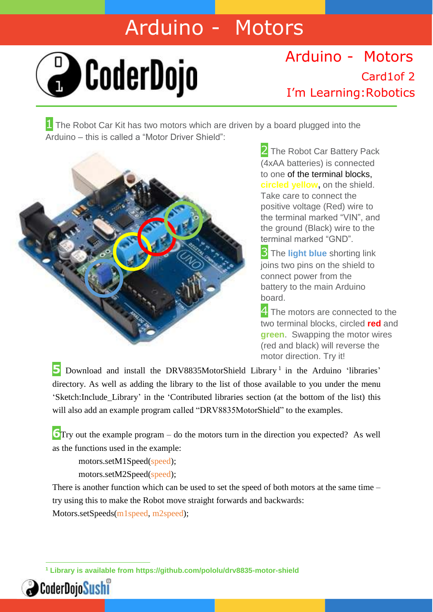## Arduino - Motors



## I'm Learning:Robotics Arduino - Motors Card1of 2

**1** The Robot Car Kit has two motors which are driven by a board plugged into the Arduino – this is called a "Motor Driver Shield":



2 The Robot Car Battery Pack (4xAA batteries) is connected to one of the terminal blocks, **circled yellow,** on the shield. Take care to connect the positive voltage (Red) wire to the terminal marked "VIN", and the ground (Black) wire to the terminal marked "GND".

**3** The **light blue** shorting link joins two pins on the shield to connect power from the battery to the main Arduino board.

4. The motors are connected to the two terminal blocks, circled **red** and **green**. Swapping the motor wires (red and black) will reverse the motor direction. Try it!

5 Download and install the DRV8835MotorShield Library<sup>1</sup> in the Arduino 'libraries' directory. As well as adding the library to the list of those available to you under the menu 'Sketch:Include\_Library' in the 'Contributed libraries section (at the bottom of the list) this will also add an example program called "DRV8835MotorShield" to the examples.

**6**Try out the example program – do the motors turn in the direction you expected? As well as the functions used in the example:

motors.setM1Speed(speed); motors.setM2Speed(speed);

There is another function which can be used to set the speed of both motors at the same time – try using this to make the Robot move straight forwards and backwards: Motors.setSpeeds(m1speed, m2speed);

 **<sup>1</sup> Library is available from https://github.com/pololu/drv8835-motor-shield**